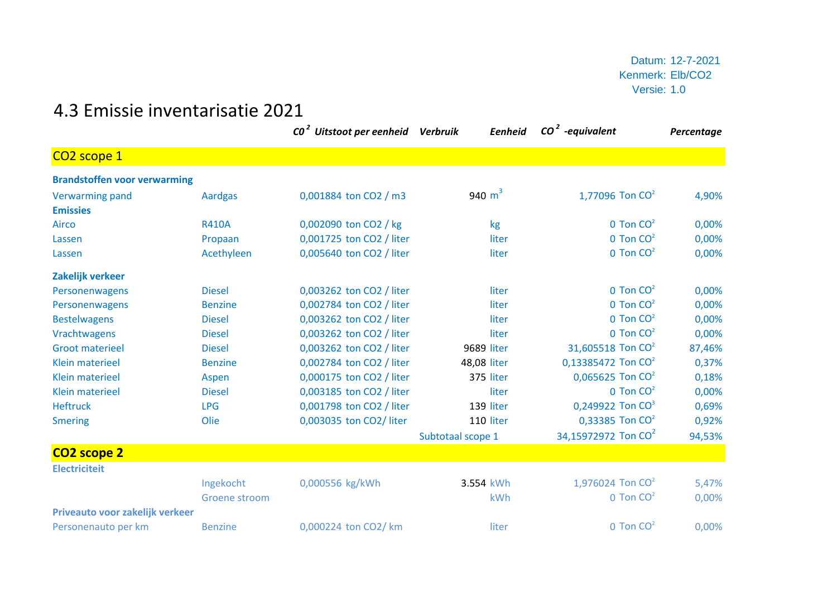Datum: 12-7-2021 Kenmerk: Elb/CO2 Versie: 1.0

## 4.3 Emissie inventarisatie 2021

|                                     |                | CO <sup>2</sup> Uitstoot per eenheid Verbruik | Eenheid           | $CO2$ -equivalent               | Percentage |
|-------------------------------------|----------------|-----------------------------------------------|-------------------|---------------------------------|------------|
| CO <sub>2</sub> scope 1             |                |                                               |                   |                                 |            |
| <b>Brandstoffen voor verwarming</b> |                |                                               |                   |                                 |            |
| <b>Verwarming pand</b>              | <b>Aardgas</b> | 0,001884 ton CO2 / m3                         | 940 $m^3$         | 1,77096 Ton $CO2$               | 4,90%      |
| <b>Emissies</b>                     |                |                                               |                   |                                 |            |
| <b>Airco</b>                        | <b>R410A</b>   | 0,002090 ton CO2 / kg                         | kg                | $0$ Ton $CO2$                   | 0,00%      |
| Lassen                              | Propaan        | 0,001725 ton CO2 / liter                      | liter             | $0$ Ton $CO2$                   | 0,00%      |
| Lassen                              | Acethyleen     | 0,005640 ton CO2 / liter                      | liter             | $0$ Ton $CO2$                   | 0,00%      |
| Zakelijk verkeer                    |                |                                               |                   |                                 |            |
| Personenwagens                      | <b>Diesel</b>  | 0,003262 ton CO2 / liter                      | liter             | $0$ Ton $CO2$                   | 0,00%      |
| Personenwagens                      | <b>Benzine</b> | 0,002784 ton CO2 / liter                      | liter             | $0$ Ton $CO2$                   | 0,00%      |
| <b>Bestelwagens</b>                 | <b>Diesel</b>  | 0,003262 ton CO2 / liter                      | liter             | $0$ Ton $CO2$                   | 0,00%      |
| Vrachtwagens                        | <b>Diesel</b>  | 0,003262 ton CO2 / liter                      | liter             | $0$ Ton $CO2$                   | 0,00%      |
| <b>Groot materieel</b>              | <b>Diesel</b>  | 0,003262 ton CO2 / liter                      | 9689 liter        | 31,605518 Ton CO <sup>2</sup>   | 87,46%     |
| <b>Klein materieel</b>              | <b>Benzine</b> | 0,002784 ton CO2 / liter                      | 48,08 liter       | 0,13385472 Ton CO <sup>2</sup>  | 0,37%      |
| <b>Klein materieel</b>              | Aspen          | 0,000175 ton CO2 / liter                      | 375 liter         | 0,065625 Ton CO <sup>2</sup>    | 0,18%      |
| <b>Klein materieel</b>              | <b>Diesel</b>  | 0,003185 ton CO2 / liter                      | liter             | $0$ Ton $CO2$                   | 0,00%      |
| <b>Heftruck</b>                     | <b>LPG</b>     | 0,001798 ton CO2 / liter                      | 139 liter         | 0,249922 Ton CO <sup>3</sup>    | 0,69%      |
| <b>Smering</b>                      | Olie           | 0,003035 ton CO2/ liter                       | 110 liter         | 0,33385 Ton CO <sup>2</sup>     | 0,92%      |
|                                     |                |                                               | Subtotaal scope 1 | 34,15972972 Ton CO <sup>2</sup> | 94,53%     |
| CO <sub>2</sub> scope 2             |                |                                               |                   |                                 |            |
| <b>Electriciteit</b>                |                |                                               |                   |                                 |            |
|                                     | Ingekocht      | 0,000556 kg/kWh                               | 3.554 kWh         | 1,976024 Ton CO <sup>2</sup>    | 5,47%      |
|                                     | Groene stroom  |                                               | kWh               | $0$ Ton $CO2$                   | 0,00%      |
| Priveauto voor zakelijk verkeer     |                |                                               |                   |                                 |            |
| Personenauto per km                 | <b>Benzine</b> | 0,000224 ton CO2/ km                          | liter             | $0$ Ton $CO2$                   | 0,00%      |